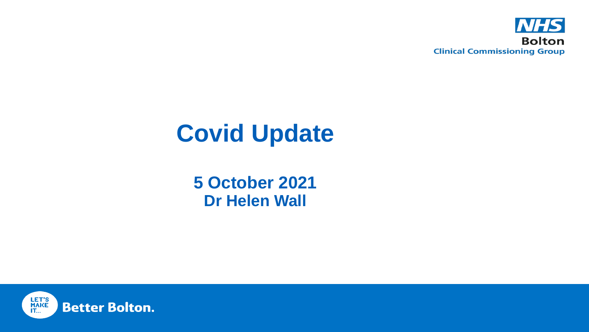

# **Covid Update**

**5 October 2021 Dr Helen Wall**

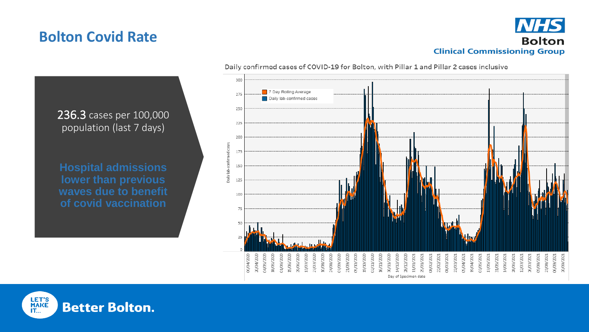### **Bolton Covid Rate**



236.3 cases per 100,000 population (last 7 days) **Hospital admissions lower than previous waves due to benefit of covid vaccination**

#### Daily confirmed cases of COVID-19 for Bolton, with Pillar 1 and Pillar 2 cases inclusive



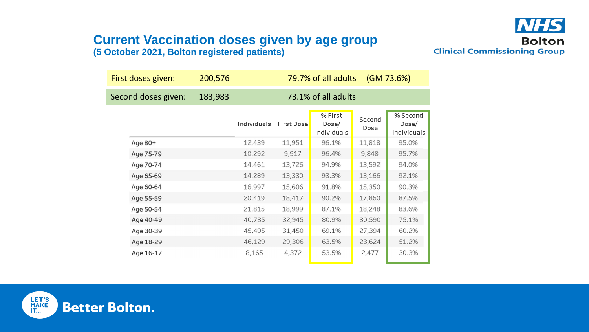### **Current Vaccination doses given by age group (5 October 2021, Bolton registered patients)**



| First doses given:  |           | 200,576 | 79.7% of all adults<br>(GM 73.6%) |                   |                                 |                |                                  |
|---------------------|-----------|---------|-----------------------------------|-------------------|---------------------------------|----------------|----------------------------------|
| Second doses given: |           | 183,983 | 73.1% of all adults               |                   |                                 |                |                                  |
|                     |           |         | Individuals                       | <b>First Dose</b> | % First<br>Dose/<br>Individuals | Second<br>Dose | % Second<br>Dose/<br>Individuals |
|                     | Age 80+   |         | 12,439                            | 11,951            | 96.1%                           | 11,818         | 95.0%                            |
|                     | Age 75-79 |         | 10,292                            | 9,917             | 96.4%                           | 9,848          | 95.7%                            |
|                     | Age 70-74 |         | 14,461                            | 13,726            | 94.9%                           | 13,592         | 94.0%                            |
|                     | Age 65-69 |         | 14,289                            | 13,330            | 93.3%                           | 13,166         | 92.1%                            |
|                     | Age 60-64 |         | 16,997                            | 15,606            | 91.8%                           | 15,350         | 90.3%                            |
|                     | Age 55-59 |         | 20,419                            | 18,417            | 90.2%                           | 17,860         | 87.5%                            |
|                     | Age 50-54 |         | 21,815                            | 18,999            | 87.1%                           | 18,248         | 83.6%                            |
|                     | Age 40-49 |         | 40,735                            | 32,945            | 80.9%                           | 30,590         | 75.1%                            |
|                     | Age 30-39 |         | 45,495                            | 31,450            | 69.1%                           | 27,394         | 60.2%                            |
|                     | Age 18-29 |         | 46,129                            | 29,306            | 63.5%                           | 23,624         | 51.2%                            |
|                     | Age 16-17 |         | 8,165                             | 4,372             | 53.5%                           | 2,477          | 30.3%                            |

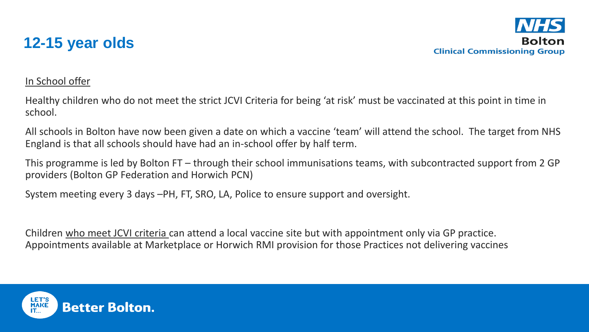

### In School offer

Healthy children who do not meet the strict JCVI Criteria for being 'at risk' must be vaccinated at this point in time in school.

All schools in Bolton have now been given a date on which a vaccine 'team' will attend the school. The target from NHS England is that all schools should have had an in-school offer by half term.

This programme is led by Bolton FT – through their school immunisations teams, with subcontracted support from 2 GP providers (Bolton GP Federation and Horwich PCN)

System meeting every 3 days –PH, FT, SRO, LA, Police to ensure support and oversight.

Children who meet JCVI criteria can attend a local vaccine site but with appointment only via GP practice. Appointments available at Marketplace or Horwich RMI provision for those Practices not delivering vaccines

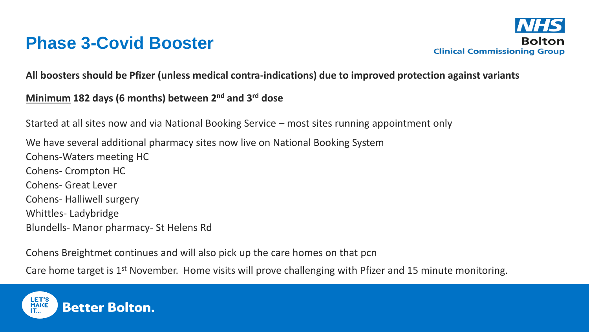## **Phase 3-Covid Booster**



**All boosters should be Pfizer (unless medical contra-indications) due to improved protection against variants**

### **Minimum 182 days (6 months) between 2nd and 3rd dose**

Started at all sites now and via National Booking Service – most sites running appointment only

We have several additional pharmacy sites now live on National Booking System Cohens-Waters meeting HC Cohens- Crompton HC Cohens- Great Lever Cohens- Halliwell surgery Whittles- Ladybridge Blundells- Manor pharmacy- St Helens Rd

Cohens Breightmet continues and will also pick up the care homes on that pcn

Care home target is 1<sup>st</sup> November. Home visits will prove challenging with Pfizer and 15 minute monitoring.